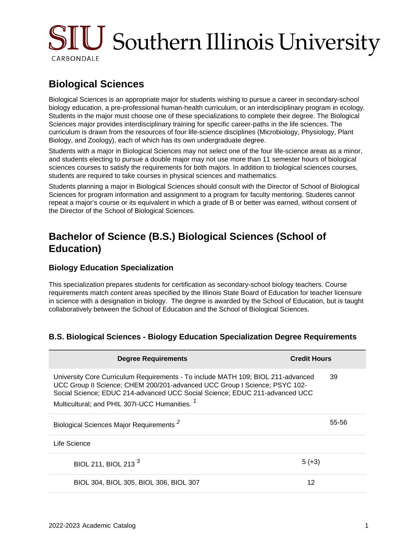# $\rm SICJ$  Southern Illinois University CARBONDALE

## **Biological Sciences**

Biological Sciences is an appropriate major for students wishing to pursue a career in secondary-school biology education, a pre-professional human-health curriculum, or an interdisciplinary program in ecology. Students in the major must choose one of these specializations to complete their degree. The Biological Sciences major provides interdisciplinary training for specific career-paths in the life sciences. The curriculum is drawn from the resources of four life-science disciplines (Microbiology, Physiology, Plant Biology, and Zoology), each of which has its own undergraduate degree.

Students with a major in Biological Sciences may not select one of the four life-science areas as a minor, and students electing to pursue a double major may not use more than 11 semester hours of biological sciences courses to satisfy the requirements for both majors. In addition to biological sciences courses, students are required to take courses in physical sciences and mathematics.

Students planning a major in Biological Sciences should consult with the Director of School of Biological Sciences for program information and assignment to a program for faculty mentoring. Students cannot repeat a major's course or its equivalent in which a grade of B or better was earned, without consent of the Director of the School of Biological Sciences.

## **Bachelor of Science (B.S.) Biological Sciences (School of Education)**

#### **Biology Education Specialization**

This specialization prepares students for certification as secondary-school biology teachers. Course requirements match content areas specified by the Illinois State Board of Education for teacher licensure in science with a designation in biology. The degree is awarded by the School of Education, but is taught collaboratively between the School of Education and the School of Biological Sciences.

#### **B.S. Biological Sciences - Biology Education Specialization Degree Requirements**

| <b>Degree Requirements</b>                                                                                                                                                                                                                                                                                 | <b>Credit Hours</b> |
|------------------------------------------------------------------------------------------------------------------------------------------------------------------------------------------------------------------------------------------------------------------------------------------------------------|---------------------|
| University Core Curriculum Requirements - To include MATH 109; BIOL 211-advanced<br>UCC Group II Science; CHEM 200/201-advanced UCC Group I Science; PSYC 102-<br>Social Science; EDUC 214-advanced UCC Social Science; EDUC 211-advanced UCC<br>Multicultural; and PHIL 307I-UCC Humanities. <sup>1</sup> | 39                  |
| Biological Sciences Major Requirements <sup>2</sup>                                                                                                                                                                                                                                                        | 55-56               |
| Life Science                                                                                                                                                                                                                                                                                               |                     |
| BIOL 211, BIOL 213 <sup>3</sup>                                                                                                                                                                                                                                                                            | $5 (+3)$            |
| BIOL 304, BIOL 305, BIOL 306, BIOL 307                                                                                                                                                                                                                                                                     | 12                  |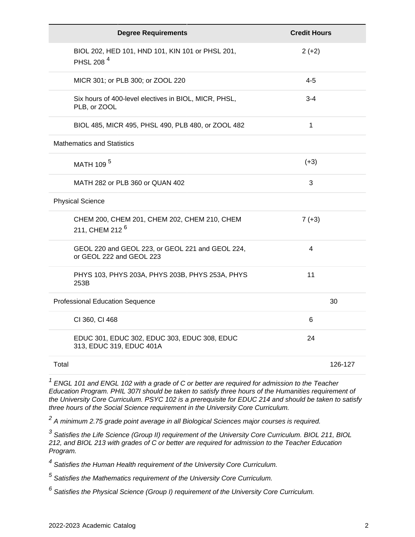| <b>Degree Requirements</b>                                                   | <b>Credit Hours</b> |
|------------------------------------------------------------------------------|---------------------|
| BIOL 202, HED 101, HND 101, KIN 101 or PHSL 201,<br>PHSL 208 <sup>4</sup>    | $2 (+2)$            |
| MICR 301; or PLB 300; or ZOOL 220                                            | $4 - 5$             |
| Six hours of 400-level electives in BIOL, MICR, PHSL,<br>PLB, or ZOOL        | $3 - 4$             |
| BIOL 485, MICR 495, PHSL 490, PLB 480, or ZOOL 482                           | 1                   |
| <b>Mathematics and Statistics</b>                                            |                     |
| MATH 109 <sup>5</sup>                                                        | $(+3)$              |
| MATH 282 or PLB 360 or QUAN 402                                              | 3                   |
| <b>Physical Science</b>                                                      |                     |
| CHEM 200, CHEM 201, CHEM 202, CHEM 210, CHEM<br>211, CHEM 212 <sup>6</sup>   | $7 (+3)$            |
| GEOL 220 and GEOL 223, or GEOL 221 and GEOL 224,<br>or GEOL 222 and GEOL 223 | 4                   |
| PHYS 103, PHYS 203A, PHYS 203B, PHYS 253A, PHYS<br>253B                      | 11                  |
| <b>Professional Education Sequence</b>                                       | 30                  |
| CI 360, CI 468                                                               | 6                   |
| EDUC 301, EDUC 302, EDUC 303, EDUC 308, EDUC<br>313, EDUC 319, EDUC 401A     | 24                  |
| Total                                                                        | 126-127             |

 $1$  ENGL 101 and ENGL 102 with a grade of C or better are required for admission to the Teacher Education Program. PHIL 307I should be taken to satisfy three hours of the Humanities requirement of the University Core Curriculum. PSYC 102 is a prerequisite for EDUC 214 and should be taken to satisfy three hours of the Social Science requirement in the University Core Curriculum.

 $^2$  A minimum 2.75 grade point average in all Biological Sciences major courses is required.

<sup>3</sup> Satisfies the Life Science (Group II) requirement of the University Core Curriculum. BIOL 211, BIOL 212, and BIOL 213 with grades of C or better are required for admission to the Teacher Education Program.

<sup>4</sup> Satisfies the Human Health requirement of the University Core Curriculum.

 $<sup>5</sup>$  Satisfies the Mathematics requirement of the University Core Curriculum.</sup>

 $^6$  Satisfies the Physical Science (Group I) requirement of the University Core Curriculum.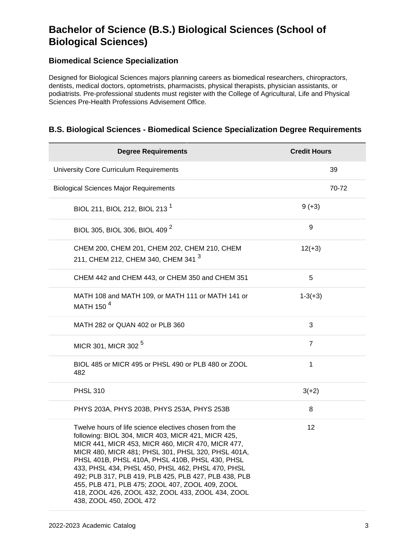## **Bachelor of Science (B.S.) Biological Sciences (School of Biological Sciences)**

### **Biomedical Science Specialization**

Designed for Biological Sciences majors planning careers as biomedical researchers, chiropractors, dentists, medical doctors, optometrists, pharmacists, physical therapists, physician assistants, or podiatrists. Pre-professional students must register with the College of Agricultural, Life and Physical Sciences Pre-Health Professions Advisement Office.

#### **B.S. Biological Sciences - Biomedical Science Specialization Degree Requirements**

| <b>Degree Requirements</b>                                                                                                                                                                                                                                                                                                                                                                                                                                                                                                  | <b>Credit Hours</b> |
|-----------------------------------------------------------------------------------------------------------------------------------------------------------------------------------------------------------------------------------------------------------------------------------------------------------------------------------------------------------------------------------------------------------------------------------------------------------------------------------------------------------------------------|---------------------|
| University Core Curriculum Requirements                                                                                                                                                                                                                                                                                                                                                                                                                                                                                     | 39                  |
| <b>Biological Sciences Major Requirements</b>                                                                                                                                                                                                                                                                                                                                                                                                                                                                               | 70-72               |
| BIOL 211, BIOL 212, BIOL 213 <sup>1</sup>                                                                                                                                                                                                                                                                                                                                                                                                                                                                                   | $9 (+3)$            |
| BIOL 305, BIOL 306, BIOL 409 <sup>2</sup>                                                                                                                                                                                                                                                                                                                                                                                                                                                                                   | 9                   |
| CHEM 200, CHEM 201, CHEM 202, CHEM 210, CHEM<br>211, CHEM 212, CHEM 340, CHEM 341 <sup>3</sup>                                                                                                                                                                                                                                                                                                                                                                                                                              | $12(+3)$            |
| CHEM 442 and CHEM 443, or CHEM 350 and CHEM 351                                                                                                                                                                                                                                                                                                                                                                                                                                                                             | 5                   |
| MATH 108 and MATH 109, or MATH 111 or MATH 141 or<br>MATH 150 <sup>4</sup>                                                                                                                                                                                                                                                                                                                                                                                                                                                  | $1 - 3(+3)$         |
| MATH 282 or QUAN 402 or PLB 360                                                                                                                                                                                                                                                                                                                                                                                                                                                                                             | 3                   |
| MICR 301, MICR 302 <sup>5</sup>                                                                                                                                                                                                                                                                                                                                                                                                                                                                                             | $\overline{7}$      |
| BIOL 485 or MICR 495 or PHSL 490 or PLB 480 or ZOOL<br>482                                                                                                                                                                                                                                                                                                                                                                                                                                                                  | 1                   |
| <b>PHSL 310</b>                                                                                                                                                                                                                                                                                                                                                                                                                                                                                                             | $3(+2)$             |
| PHYS 203A, PHYS 203B, PHYS 253A, PHYS 253B                                                                                                                                                                                                                                                                                                                                                                                                                                                                                  | 8                   |
| Twelve hours of life science electives chosen from the<br>following: BIOL 304, MICR 403, MICR 421, MICR 425,<br>MICR 441, MICR 453, MICR 460, MICR 470, MICR 477,<br>MICR 480, MICR 481; PHSL 301, PHSL 320, PHSL 401A,<br>PHSL 401B, PHSL 410A, PHSL 410B, PHSL 430, PHSL<br>433, PHSL 434, PHSL 450, PHSL 462, PHSL 470, PHSL<br>492; PLB 317, PLB 419, PLB 425, PLB 427, PLB 438, PLB<br>455, PLB 471, PLB 475; ZOOL 407, ZOOL 409, ZOOL<br>418, ZOOL 426, ZOOL 432, ZOOL 433, ZOOL 434, ZOOL<br>438, ZOOL 450, ZOOL 472 | 12                  |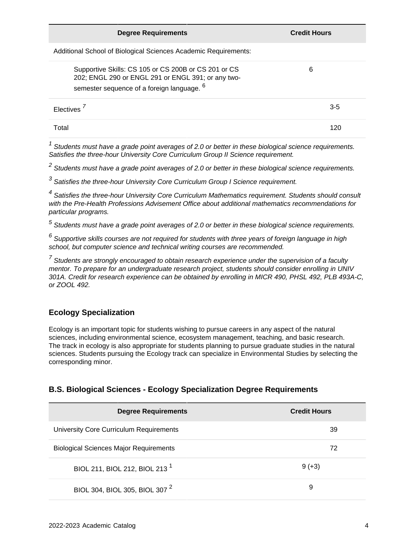| <b>Degree Requirements</b>                                                                                                                                          | <b>Credit Hours</b> |
|---------------------------------------------------------------------------------------------------------------------------------------------------------------------|---------------------|
| Additional School of Biological Sciences Academic Requirements:                                                                                                     |                     |
| Supportive Skills: CS 105 or CS 200B or CS 201 or CS<br>202; ENGL 290 or ENGL 291 or ENGL 391; or any two-<br>semester sequence of a foreign language. <sup>6</sup> | 6                   |
| Electives <sup>/</sup>                                                                                                                                              | $3 - 5$             |
| Total                                                                                                                                                               | 120                 |

 $1$  Students must have a grade point averages of 2.0 or better in these biological science requirements. Satisfies the three-hour University Core Curriculum Group II Science requirement.

 $^2$  Students must have a grade point averages of 2.0 or better in these biological science requirements.

 $3$  Satisfies the three-hour University Core Curriculum Group I Science requirement.

<sup>4</sup> Satisfies the three-hour University Core Curriculum Mathematics requirement. Students should consult with the Pre-Health Professions Advisement Office about additional mathematics recommendations for particular programs.

 $^5$  Students must have a grade point averages of 2.0 or better in these biological science requirements.

 $^6$  Supportive skills courses are not required for students with three years of foreign language in high school, but computer science and technical writing courses are recommended.

 $<sup>7</sup>$  Students are strongly encouraged to obtain research experience under the supervision of a faculty</sup> mentor. To prepare for an undergraduate research project, students should consider enrolling in UNIV 301A. Credit for research experience can be obtained by enrolling in MICR 490, PHSL 492, PLB 493A-C, or ZOOL 492.

#### **Ecology Specialization**

Ecology is an important topic for students wishing to pursue careers in any aspect of the natural sciences, including environmental science, ecosystem management, teaching, and basic research. The track in ecology is also appropriate for students planning to pursue graduate studies in the natural sciences. Students pursuing the Ecology track can specialize in Environmental Studies by selecting the corresponding minor.

#### **B.S. Biological Sciences - Ecology Specialization Degree Requirements**

| <b>Degree Requirements</b>                    | <b>Credit Hours</b> |
|-----------------------------------------------|---------------------|
| University Core Curriculum Requirements       | 39                  |
| <b>Biological Sciences Major Requirements</b> | 72                  |
| BIOL 211, BIOL 212, BIOL 213 <sup>1</sup>     | $9 (+3)$            |
| BIOL 304, BIOL 305, BIOL 307 <sup>2</sup>     | 9                   |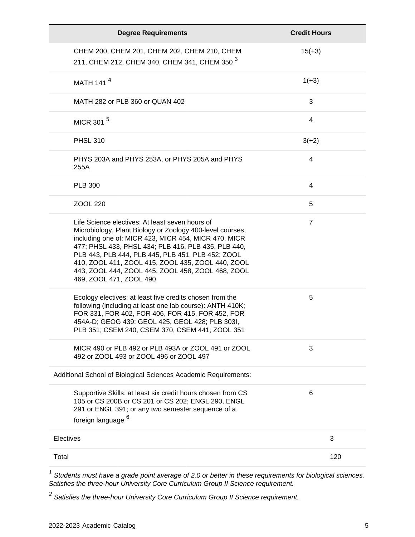| <b>Degree Requirements</b>                                                                                                                                                                                                                                                                                                                                                                                            | <b>Credit Hours</b> |
|-----------------------------------------------------------------------------------------------------------------------------------------------------------------------------------------------------------------------------------------------------------------------------------------------------------------------------------------------------------------------------------------------------------------------|---------------------|
| CHEM 200, CHEM 201, CHEM 202, CHEM 210, CHEM<br>211, CHEM 212, CHEM 340, CHEM 341, CHEM 350 <sup>3</sup>                                                                                                                                                                                                                                                                                                              | $15(+3)$            |
| MATH 141 <sup>4</sup>                                                                                                                                                                                                                                                                                                                                                                                                 | $1(+3)$             |
| MATH 282 or PLB 360 or QUAN 402                                                                                                                                                                                                                                                                                                                                                                                       | 3                   |
| MICR 301 <sup>5</sup>                                                                                                                                                                                                                                                                                                                                                                                                 | 4                   |
| <b>PHSL 310</b>                                                                                                                                                                                                                                                                                                                                                                                                       | $3(+2)$             |
| PHYS 203A and PHYS 253A, or PHYS 205A and PHYS<br>255A                                                                                                                                                                                                                                                                                                                                                                | 4                   |
| <b>PLB 300</b>                                                                                                                                                                                                                                                                                                                                                                                                        | 4                   |
| ZOOL 220                                                                                                                                                                                                                                                                                                                                                                                                              | 5                   |
| Life Science electives: At least seven hours of<br>Microbiology, Plant Biology or Zoology 400-level courses,<br>including one of: MICR 423, MICR 454, MICR 470, MICR<br>477; PHSL 433, PHSL 434; PLB 416, PLB 435, PLB 440,<br>PLB 443, PLB 444, PLB 445, PLB 451, PLB 452; ZOOL<br>410, ZOOL 411, ZOOL 415, ZOOL 435, ZOOL 440, ZOOL<br>443, ZOOL 444, ZOOL 445, ZOOL 458, ZOOL 468, ZOOL<br>469, ZOOL 471, ZOOL 490 | $\overline{7}$      |
| Ecology electives: at least five credits chosen from the<br>following (including at least one lab course): ANTH 410K;<br>FOR 331, FOR 402, FOR 406, FOR 415, FOR 452, FOR<br>454A-D; GEOG 439; GEOL 425, GEOL 428; PLB 303I,<br>PLB 351; CSEM 240, CSEM 370, CSEM 441; ZOOL 351                                                                                                                                       | 5                   |
| MICR 490 or PLB 492 or PLB 493A or ZOOL 491 or ZOOL<br>492 or ZOOL 493 or ZOOL 496 or ZOOL 497                                                                                                                                                                                                                                                                                                                        | 3                   |
| Additional School of Biological Sciences Academic Requirements:                                                                                                                                                                                                                                                                                                                                                       |                     |
| Supportive Skills: at least six credit hours chosen from CS<br>105 or CS 200B or CS 201 or CS 202; ENGL 290, ENGL<br>291 or ENGL 391; or any two semester sequence of a<br>foreign language <sup>6</sup>                                                                                                                                                                                                              | 6                   |
| Electives                                                                                                                                                                                                                                                                                                                                                                                                             | 3                   |
| Total                                                                                                                                                                                                                                                                                                                                                                                                                 | 120                 |

 $1$  Students must have a grade point average of 2.0 or better in these requirements for biological sciences. Satisfies the three-hour University Core Curriculum Group II Science requirement.

<sup>2</sup> Satisfies the three-hour University Core Curriculum Group II Science requirement.